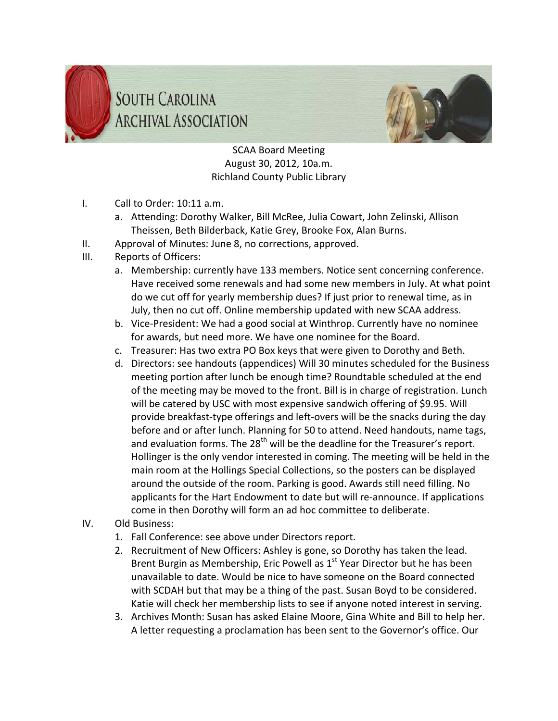



SCAA Board Meeting August 30, 2012, 10a.m. Richland County Public Library

- I. Call to Order: 10:11 a.m.
	- a. Attending: Dorothy Walker, Bill McRee, Julia Cowart, John Zelinski, Allison Theissen, Beth Bilderback, Katie Grey, Brooke Fox, Alan Burns.
- II. Approval of Minutes: June 8, no corrections, approved.
- III. Reports of Officers:
	- a. Membership: currently have 133 members. Notice sent concerning conference. Have received some renewals and had some new members in July. At what point do we cut off for yearly membership dues? If just prior to renewal time, as in July, then no cut off. Online membership updated with new SCAA address.
	- b. Vice‐President: We had a good social at Winthrop. Currently have no nominee for awards, but need more. We have one nominee for the Board.
	- c. Treasurer: Has two extra PO Box keys that were given to Dorothy and Beth.
	- d. Directors: see handouts (appendices) Will 30 minutes scheduled for the Business meeting portion after lunch be enough time? Roundtable scheduled at the end of the meeting may be moved to the front. Bill is in charge of registration. Lunch will be catered by USC with most expensive sandwich offering of \$9.95. Will provide breakfast‐type offerings and left‐overs will be the snacks during the day before and or after lunch. Planning for 50 to attend. Need handouts, name tags, and evaluation forms. The  $28<sup>th</sup>$  will be the deadline for the Treasurer's report. Hollinger is the only vendor interested in coming. The meeting will be held in the main room at the Hollings Special Collections, so the posters can be displayed around the outside of the room. Parking is good. Awards still need filling. No applicants for the Hart Endowment to date but will re‐announce. If applications come in then Dorothy will form an ad hoc committee to deliberate.
- IV. Old Business:
	- 1. Fall Conference: see above under Directors report.
	- 2. Recruitment of New Officers: Ashley is gone, so Dorothy has taken the lead. Brent Burgin as Membership, Eric Powell as 1<sup>st</sup> Year Director but he has been unavailable to date. Would be nice to have someone on the Board connected with SCDAH but that may be a thing of the past. Susan Boyd to be considered. Katie will check her membership lists to see if anyone noted interest in serving.
	- 3. Archives Month: Susan has asked Elaine Moore, Gina White and Bill to help her. A letter requesting a proclamation has been sent to the Governor's office. Our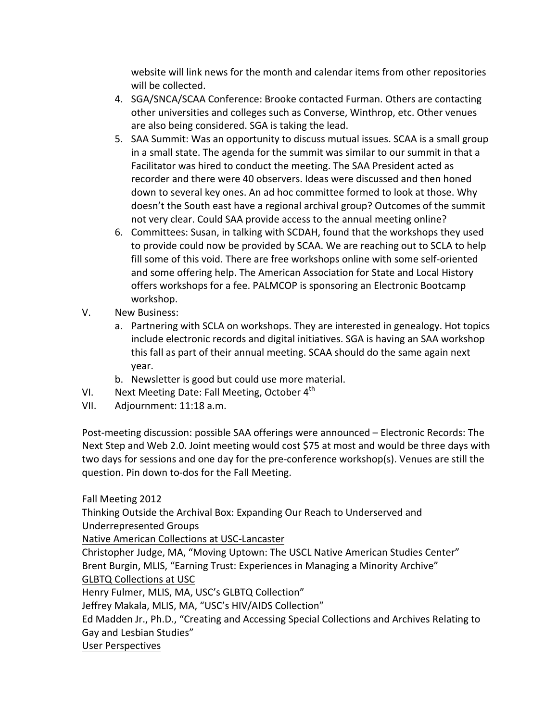website will link news for the month and calendar items from other repositories will be collected.

- 4. SGA/SNCA/SCAA Conference: Brooke contacted Furman. Others are contacting other universities and colleges such as Converse, Winthrop, etc. Other venues are also being considered. SGA is taking the lead.
- 5. SAA Summit: Was an opportunity to discuss mutual issues. SCAA is a small group in a small state. The agenda for the summit was similar to our summit in that a Facilitator was hired to conduct the meeting. The SAA President acted as recorder and there were 40 observers. Ideas were discussed and then honed down to several key ones. An ad hoc committee formed to look at those. Why doesn't the South east have a regional archival group? Outcomes of the summit not very clear. Could SAA provide access to the annual meeting online?
- 6. Committees: Susan, in talking with SCDAH, found that the workshops they used to provide could now be provided by SCAA. We are reaching out to SCLA to help fill some of this void. There are free workshops online with some self‐oriented and some offering help. The American Association for State and Local History offers workshops for a fee. PALMCOP is sponsoring an Electronic Bootcamp workshop.
- V. New Business:
	- a. Partnering with SCLA on workshops. They are interested in genealogy. Hot topics include electronic records and digital initiatives. SGA is having an SAA workshop this fall as part of their annual meeting. SCAA should do the same again next year.
	- b. Newsletter is good but could use more material.
- VI. Next Meeting Date: Fall Meeting, October  $4<sup>th</sup>$
- VII. Adjournment: 11:18 a.m.

Post‐meeting discussion: possible SAA offerings were announced – Electronic Records: The Next Step and Web 2.0. Joint meeting would cost \$75 at most and would be three days with two days for sessions and one day for the pre‐conference workshop(s). Venues are still the question. Pin down to‐dos for the Fall Meeting.

Fall Meeting 2012

Thinking Outside the Archival Box: Expanding Our Reach to Underserved and Underrepresented Groups

Native American Collections at USC‐Lancaster

Christopher Judge, MA, "Moving Uptown: The USCL Native American Studies Center" Brent Burgin, MLIS, "Earning Trust: Experiences in Managing a Minority Archive"

GLBTQ Collections at USC

Henry Fulmer, MLIS, MA, USC's GLBTQ Collection"

Jeffrey Makala, MLIS, MA, "USC's HIV/AIDS Collection"

Ed Madden Jr., Ph.D., "Creating and Accessing Special Collections and Archives Relating to Gay and Lesbian Studies"

User Perspectives